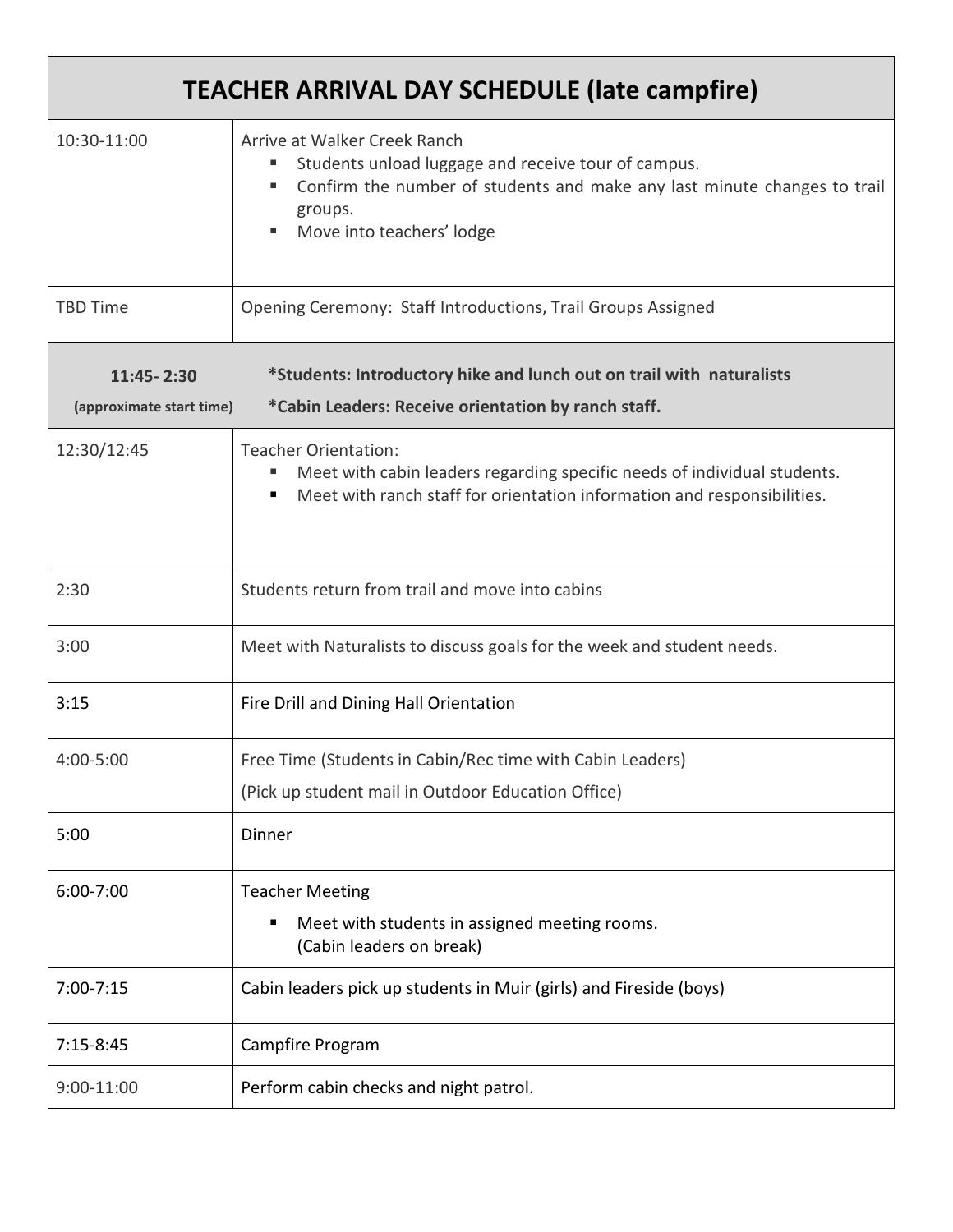| <b>TEACHER ARRIVAL DAY SCHEDULE (late campfire)</b> |                                                                                                                                                                                                         |  |
|-----------------------------------------------------|---------------------------------------------------------------------------------------------------------------------------------------------------------------------------------------------------------|--|
| 10:30-11:00                                         | Arrive at Walker Creek Ranch<br>Students unload luggage and receive tour of campus.<br>Confirm the number of students and make any last minute changes to trail<br>groups.<br>Move into teachers' lodge |  |
| <b>TBD Time</b>                                     | Opening Ceremony: Staff Introductions, Trail Groups Assigned                                                                                                                                            |  |
| 11:45 - 2:30<br>(approximate start time)            | *Students: Introductory hike and lunch out on trail with naturalists<br>*Cabin Leaders: Receive orientation by ranch staff.                                                                             |  |
| 12:30/12:45                                         | <b>Teacher Orientation:</b><br>Meet with cabin leaders regarding specific needs of individual students.<br>Meet with ranch staff for orientation information and responsibilities.                      |  |
| 2:30                                                | Students return from trail and move into cabins                                                                                                                                                         |  |
| 3:00                                                | Meet with Naturalists to discuss goals for the week and student needs.                                                                                                                                  |  |
| 3:15                                                | Fire Drill and Dining Hall Orientation                                                                                                                                                                  |  |
| 4:00-5:00                                           | Free Time (Students in Cabin/Rec time with Cabin Leaders)<br>(Pick up student mail in Outdoor Education Office)                                                                                         |  |
| 5:00                                                | Dinner                                                                                                                                                                                                  |  |
| 6:00-7:00                                           | <b>Teacher Meeting</b><br>Meet with students in assigned meeting rooms.<br>(Cabin leaders on break)                                                                                                     |  |
| $7:00 - 7:15$                                       | Cabin leaders pick up students in Muir (girls) and Fireside (boys)                                                                                                                                      |  |
| $7:15-8:45$                                         | Campfire Program                                                                                                                                                                                        |  |
| 9:00-11:00                                          | Perform cabin checks and night patrol.                                                                                                                                                                  |  |